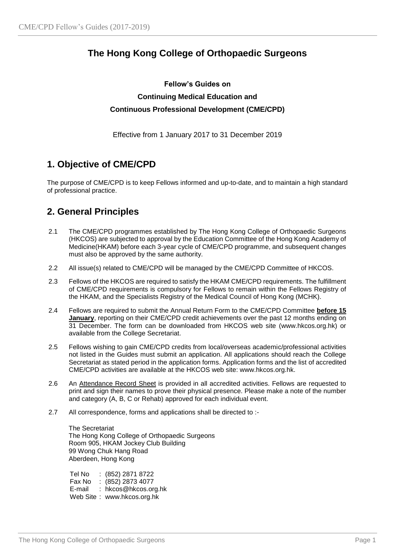# **The Hong Kong College of Orthopaedic Surgeons**

## **Fellow's Guides on Continuing Medical Education and Continuous Professional Development (CME/CPD)**

Effective from 1 January 2017 to 31 December 2019

# **1. Objective of CME/CPD**

The purpose of CME/CPD is to keep Fellows informed and up-to-date, and to maintain a high standard of professional practice.

# **2. General Principles**

- 2.1 The CME/CPD programmes established by The Hong Kong College of Orthopaedic Surgeons (HKCOS) are subjected to approval by the Education Committee of the Hong Kong Academy of Medicine(HKAM) before each 3-year cycle of CME/CPD programme, and subsequent changes must also be approved by the same authority.
- 2.2 All issue(s) related to CME/CPD will be managed by the CME/CPD Committee of HKCOS.
- 2.3 Fellows of the HKCOS are required to satisfy the HKAM CME/CPD requirements. The fulfillment of CME/CPD requirements is compulsory for Fellows to remain within the Fellows Registry of the HKAM, and the Specialists Registry of the Medical Council of Hong Kong (MCHK).
- 2.4 Fellows are required to submit the Annual Return Form to the CME/CPD Committee **before 15 January**, reporting on their CME/CPD credit achievements over the past 12 months ending on 31 December. The form can be downloaded from HKCOS web site (www.hkcos.org.hk) or available from the College Secretariat.
- 2.5 Fellows wishing to gain CME/CPD credits from local/overseas academic/professional activities not listed in the Guides must submit an application. All applications should reach the College Secretariat as stated period in the application forms. Application forms and the list of accredited CME/CPD activities are available at the HKCOS web site: www.hkcos.org.hk.
- 2.6 An Attendance Record Sheet is provided in all accredited activities. Fellows are requested to print and sign their names to prove their physical presence. Please make a note of the number and category (A, B, C or Rehab) approved for each individual event.
- 2.7 All correspondence, forms and applications shall be directed to :-

The Secretariat The Hong Kong College of Orthopaedic Surgeons Room 905, HKAM Jockey Club Building 99 Wong Chuk Hang Road Aberdeen, Hong Kong

Tel No : (852) 2871 8722 Fax No : (852) 2873 4077 E-mail : hkcos@hkcos.org.hk Web Site : www.hkcos.org.hk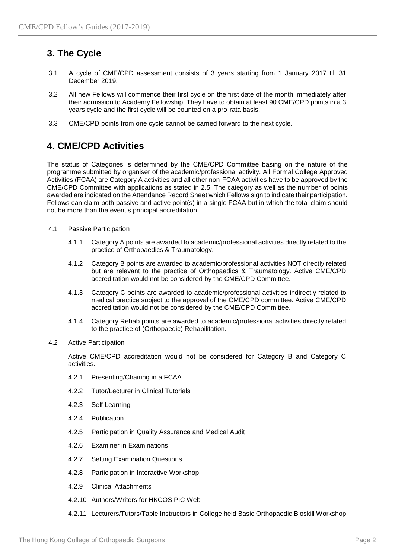# **3. The Cycle**

- 3.1 A cycle of CME/CPD assessment consists of 3 years starting from 1 January 2017 till 31 December 2019.
- 3.2 All new Fellows will commence their first cycle on the first date of the month immediately after their admission to Academy Fellowship. They have to obtain at least 90 CME/CPD points in a 3 years cycle and the first cycle will be counted on a pro-rata basis.
- 3.3 CME/CPD points from one cycle cannot be carried forward to the next cycle.

## **4. CME/CPD Activities**

The status of Categories is determined by the CME/CPD Committee basing on the nature of the programme submitted by organiser of the academic/professional activity. All Formal College Approved Activities (FCAA) are Category A activities and all other non-FCAA activities have to be approved by the CME/CPD Committee with applications as stated in 2.5. The category as well as the number of points awarded are indicated on the Attendance Record Sheet which Fellows sign to indicate their participation. Fellows can claim both passive and active point(s) in a single FCAA but in which the total claim should not be more than the event's principal accreditation.

- 4.1 Passive Participation
	- 4.1.1 Category A points are awarded to academic/professional activities directly related to the practice of Orthopaedics & Traumatology.
	- 4.1.2 Category B points are awarded to academic/professional activities NOT directly related but are relevant to the practice of Orthopaedics & Traumatology. Active CME/CPD accreditation would not be considered by the CME/CPD Committee.
	- 4.1.3 Category C points are awarded to academic/professional activities indirectly related to medical practice subject to the approval of the CME/CPD committee. Active CME/CPD accreditation would not be considered by the CME/CPD Committee.
	- 4.1.4 Category Rehab points are awarded to academic/professional activities directly related to the practice of (Orthopaedic) Rehabilitation.
- 4.2 Active Participation

Active CME/CPD accreditation would not be considered for Category B and Category C activities.

- 4.2.1 Presenting/Chairing in a FCAA
- 4.2.2 Tutor/Lecturer in Clinical Tutorials
- 4.2.3 Self Learning
- 4.2.4 Publication
- 4.2.5 Participation in Quality Assurance and Medical Audit
- 4.2.6 Examiner in Examinations
- 4.2.7 Setting Examination Questions
- 4.2.8 Participation in Interactive Workshop
- 4.2.9 Clinical Attachments
- 4.2.10 Authors/Writers for HKCOS PIC Web
- 4.2.11 Lecturers/Tutors/Table Instructors in College held Basic Orthopaedic Bioskill Workshop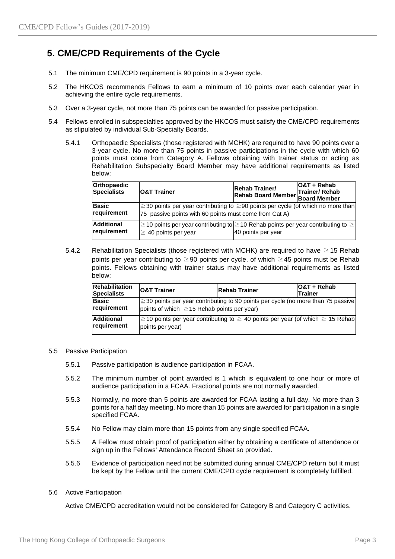## **5. CME/CPD Requirements of the Cycle**

- 5.1 The minimum CME/CPD requirement is 90 points in a 3-year cycle.
- 5.2 The HKCOS recommends Fellows to earn a minimum of 10 points over each calendar year in achieving the entire cycle requirements.
- 5.3 Over a 3-year cycle, not more than 75 points can be awarded for passive participation.
- 5.4 Fellows enrolled in subspecialties approved by the HKCOS must satisfy the CME/CPD requirements as stipulated by individual Sub-Specialty Boards.
	- 5.4.1 Orthopaedic Specialists (those registered with MCHK) are required to have 90 points over a 3-year cycle. No more than 75 points in passive participations in the cycle with which 60 points must come from Category A. Fellows obtaining with trainer status or acting as Rehabilitation Subspecialty Board Member may have additional requirements as listed below:

| Orthopaedic<br><b>Specialists</b> | <b>O&amp;T Trainer</b>                                                                                                                                 | <b>Rehab Trainer/</b><br>Rehab Trainer/<br>Rehab Board Member Board Member | $108T + Rehab$ |  |  |
|-----------------------------------|--------------------------------------------------------------------------------------------------------------------------------------------------------|----------------------------------------------------------------------------|----------------|--|--|
| Basic<br>requirement              | $ \geq 30$ points per year contributing to $\geq 90$ points per cycle (of which no more than<br>75 passive points with 60 points must come from Cat A) |                                                                            |                |  |  |
| <b>Additional</b><br>requirement  | ≧10 points per year contributing to  ≧10 Rehab points per year contributing to ≧  <br>$\geq 40$ points per year                                        | 40 points per year                                                         |                |  |  |

5.4.2 Rehabilitation Specialists (those registered with MCHK) are required to have ≧15 Rehab points per year contributing to ≧90 points per cycle, of which ≧45 points must be Rehab points. Fellows obtaining with trainer status may have additional requirements as listed below:

| <b>Rehabilitation</b><br><b>Specialists</b> | <b>O&amp;T Trainer</b>                                                                                                                      | <b>Rehab Trainer</b>                                                           | IO&T + Rehab<br><b>Trainer</b> |  |  |
|---------------------------------------------|---------------------------------------------------------------------------------------------------------------------------------------------|--------------------------------------------------------------------------------|--------------------------------|--|--|
| Basic<br>requirement                        | $\geq$ 30 points per year contributing to 90 points per cycle (no more than 75 passive)<br>points of which $\geq$ 15 Rehab points per year) |                                                                                |                                |  |  |
| <b>Additional</b><br>requirement            | points per year)                                                                                                                            | ≧10 points per year contributing to ≥ 40 points per year (of which ≥ 15 Rehab) |                                |  |  |

#### 5.5 Passive Participation

- 5.5.1 Passive participation is audience participation in FCAA.
- 5.5.2 The minimum number of point awarded is 1 which is equivalent to one hour or more of audience participation in a FCAA. Fractional points are not normally awarded.
- 5.5.3 Normally, no more than 5 points are awarded for FCAA lasting a full day. No more than 3 points for a half day meeting. No more than 15 points are awarded for participation in a single specified FCAA.
- 5.5.4 No Fellow may claim more than 15 points from any single specified FCAA.
- 5.5.5 A Fellow must obtain proof of participation either by obtaining a certificate of attendance or sign up in the Fellows' Attendance Record Sheet so provided.
- 5.5.6 Evidence of participation need not be submitted during annual CME/CPD return but it must be kept by the Fellow until the current CME/CPD cycle requirement is completely fulfilled.

### 5.6 Active Participation

Active CME/CPD accreditation would not be considered for Category B and Category C activities.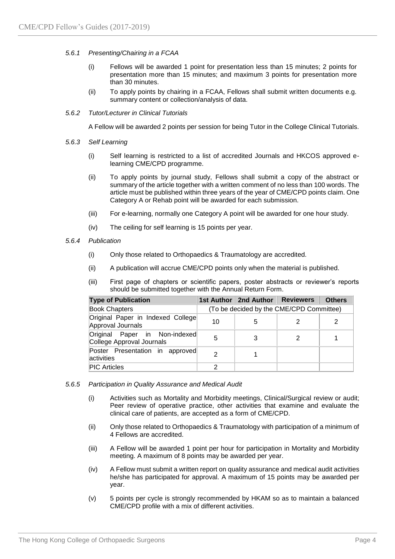## *5.6.1 Presenting/Chairing in a FCAA*

- (i) Fellows will be awarded 1 point for presentation less than 15 minutes; 2 points for presentation more than 15 minutes; and maximum 3 points for presentation more than 30 minutes.
- (ii) To apply points by chairing in a FCAA, Fellows shall submit written documents e.g. summary content or collection/analysis of data.

### *5.6.2 Tutor/Lecturer in Clinical Tutorials*

A Fellow will be awarded 2 points per session for being Tutor in the College Clinical Tutorials.

- *5.6.3 Self Learning*
	- (i) Self learning is restricted to a list of accredited Journals and HKCOS approved elearning CME/CPD programme.
	- (ii) To apply points by journal study, Fellows shall submit a copy of the abstract or summary of the article together with a written comment of no less than 100 words. The article must be published within three years of the year of CME/CPD points claim. One Category A or Rehab point will be awarded for each submission.
	- (iii) For e-learning, normally one Category A point will be awarded for one hour study.
	- (iv) The ceiling for self learning is 15 points per year.

### *5.6.4 Publication*

- (i) Only those related to Orthopaedics & Traumatology are accredited.
- (ii) A publication will accrue CME/CPD points only when the material is published.
- (iii) First page of chapters or scientific papers, poster abstracts or reviewer's reports should be submitted together with the Annual Return Form.

| <b>Type of Publication</b>                                 |                                          | 1st Author   2nd Author | <b>Reviewers</b> | <b>Others</b> |  |
|------------------------------------------------------------|------------------------------------------|-------------------------|------------------|---------------|--|
| <b>Book Chapters</b>                                       | (To be decided by the CME/CPD Committee) |                         |                  |               |  |
| Original Paper in Indexed College<br>Approval Journals     | 10                                       | 5                       |                  | 2             |  |
| Original Paper in Non-indexed<br>College Approval Journals | 5                                        | 3                       |                  |               |  |
| Poster Presentation in approved<br>activities              | 2                                        |                         |                  |               |  |
| <b>PIC Articles</b>                                        | 2                                        |                         |                  |               |  |

- *5.6.5 Participation in Quality Assurance and Medical Audit*
	- (i) Activities such as Mortality and Morbidity meetings, Clinical/Surgical review or audit; Peer review of operative practice, other activities that examine and evaluate the clinical care of patients, are accepted as a form of CME/CPD.
	- (ii) Only those related to Orthopaedics & Traumatology with participation of a minimum of 4 Fellows are accredited.
	- (iii) A Fellow will be awarded 1 point per hour for participation in Mortality and Morbidity meeting. A maximum of 8 points may be awarded per year.
	- (iv) A Fellow must submit a written report on quality assurance and medical audit activities he/she has participated for approval. A maximum of 15 points may be awarded per year.
	- (v) 5 points per cycle is strongly recommended by HKAM so as to maintain a balanced CME/CPD profile with a mix of different activities.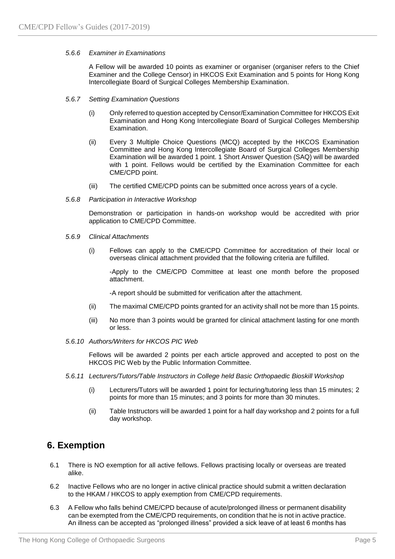### *5.6.6 Examiner in Examinations*

A Fellow will be awarded 10 points as examiner or organiser (organiser refers to the Chief Examiner and the College Censor) in HKCOS Exit Examination and 5 points for Hong Kong Intercollegiate Board of Surgical Colleges Membership Examination.

#### *5.6.7 Setting Examination Questions*

- (i) Only referred to question accepted by Censor/Examination Committee for HKCOS Exit Examination and Hong Kong Intercollegiate Board of Surgical Colleges Membership Examination.
- (ii) Every 3 Multiple Choice Questions (MCQ) accepted by the HKCOS Examination Committee and Hong Kong Intercollegiate Board of Surgical Colleges Membership Examination will be awarded 1 point. 1 Short Answer Question (SAQ) will be awarded with 1 point. Fellows would be certified by the Examination Committee for each CME/CPD point.
- (iii) The certified CME/CPD points can be submitted once across years of a cycle.
- *5.6.8 Participation in Interactive Workshop*

Demonstration or participation in hands-on workshop would be accredited with prior application to CME/CPD Committee.

- *5.6.9 Clinical Attachments*
	- (i) Fellows can apply to the CME/CPD Committee for accreditation of their local or overseas clinical attachment provided that the following criteria are fulfilled.

-Apply to the CME/CPD Committee at least one month before the proposed attachment.

-A report should be submitted for verification after the attachment.

- (ii) The maximal CME/CPD points granted for an activity shall not be more than 15 points.
- (iii) No more than 3 points would be granted for clinical attachment lasting for one month or less.
- *5.6.10 Authors/Writers for HKCOS PIC Web*

Fellows will be awarded 2 points per each article approved and accepted to post on the HKCOS PIC Web by the Public Information Committee.

- *5.6.11 Lecturers/Tutors/Table Instructors in College held Basic Orthopaedic Bioskill Workshop*
	- (i) Lecturers/Tutors will be awarded 1 point for lecturing/tutoring less than 15 minutes; 2 points for more than 15 minutes; and 3 points for more than 30 minutes.
	- (ii) Table Instructors will be awarded 1 point for a half day workshop and 2 points for a full day workshop.

## **6. Exemption**

- 6.1 There is NO exemption for all active fellows. Fellows practising locally or overseas are treated alike.
- 6.2 Inactive Fellows who are no longer in active clinical practice should submit a written declaration to the HKAM / HKCOS to apply exemption from CME/CPD requirements.
- 6.3 A Fellow who falls behind CME/CPD because of acute/prolonged illness or permanent disability can be exempted from the CME/CPD requirements, on condition that he is not in active practice. An illness can be accepted as "prolonged illness" provided a sick leave of at least 6 months has